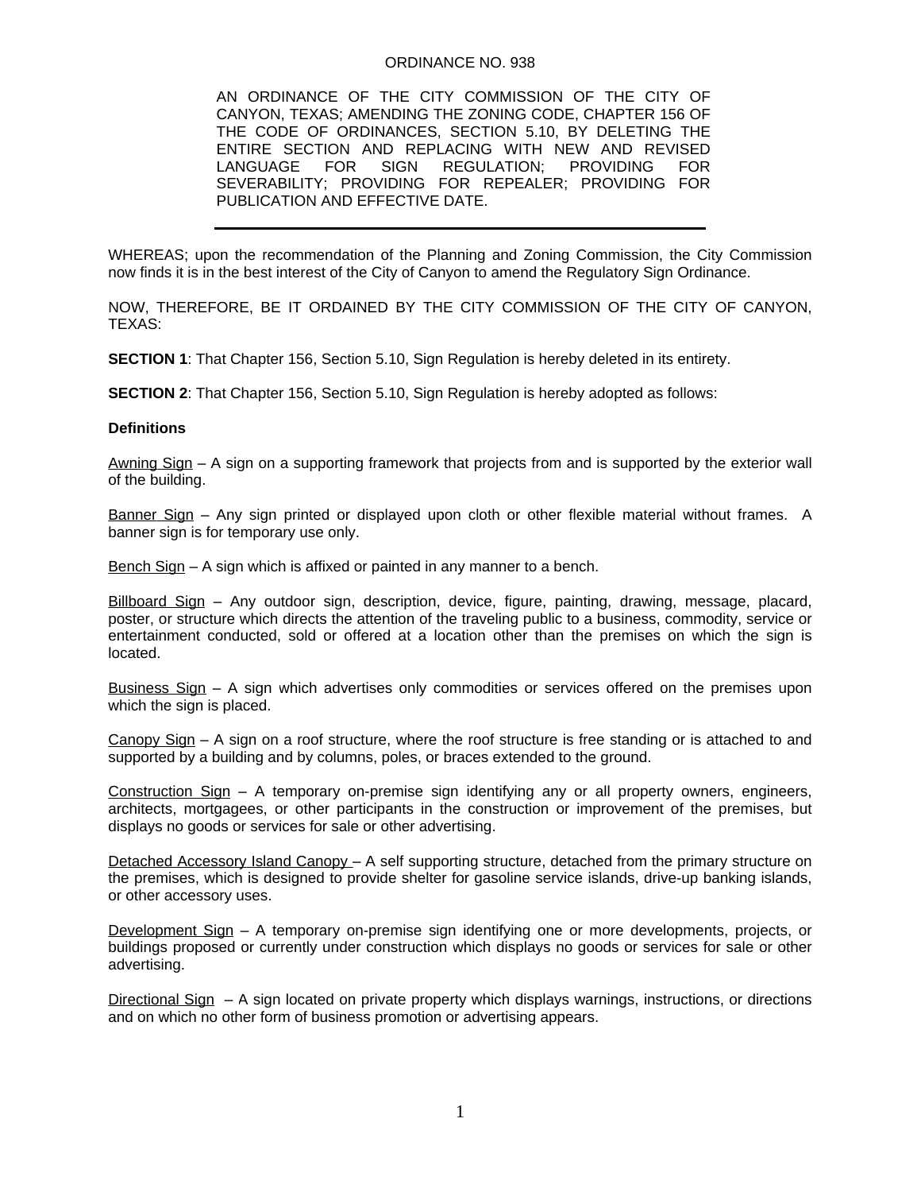### ORDINANCE NO. 938

 AN ORDINANCE OF THE CITY COMMISSION OF THE CITY OF CANYON, TEXAS; AMENDING THE ZONING CODE, CHAPTER 156 OF THE CODE OF ORDINANCES, SECTION 5.10, BY DELETING THE ENTIRE SECTION AND REPLACING WITH NEW AND REVISED LANGUAGE FOR SIGN REGULATION; PROVIDING FOR SEVERABILITY; PROVIDING FOR REPEALER; PROVIDING FOR PUBLICATION AND EFFECTIVE DATE.

WHEREAS; upon the recommendation of the Planning and Zoning Commission, the City Commission now finds it is in the best interest of the City of Canyon to amend the Regulatory Sign Ordinance.

NOW, THEREFORE, BE IT ORDAINED BY THE CITY COMMISSION OF THE CITY OF CANYON, TEXAS:

**SECTION 1**: That Chapter 156, Section 5.10, Sign Regulation is hereby deleted in its entirety.

**SECTION 2**: That Chapter 156, Section 5.10, Sign Regulation is hereby adopted as follows:

### **Definitions**

Awning Sign – A sign on a supporting framework that projects from and is supported by the exterior wall of the building.

Banner Sign – Any sign printed or displayed upon cloth or other flexible material without frames. A banner sign is for temporary use only.

Bench Sign – A sign which is affixed or painted in any manner to a bench.

Billboard Sign – Any outdoor sign, description, device, figure, painting, drawing, message, placard, poster, or structure which directs the attention of the traveling public to a business, commodity, service or entertainment conducted, sold or offered at a location other than the premises on which the sign is located.

Business Sign – A sign which advertises only commodities or services offered on the premises upon which the sign is placed.

Canopy Sign – A sign on a roof structure, where the roof structure is free standing or is attached to and supported by a building and by columns, poles, or braces extended to the ground.

Construction Sign – A temporary on-premise sign identifying any or all property owners, engineers, architects, mortgagees, or other participants in the construction or improvement of the premises, but displays no goods or services for sale or other advertising.

Detached Accessory Island Canopy – A self supporting structure, detached from the primary structure on the premises, which is designed to provide shelter for gasoline service islands, drive-up banking islands, or other accessory uses.

Development Sign – A temporary on-premise sign identifying one or more developments, projects, or buildings proposed or currently under construction which displays no goods or services for sale or other advertising.

Directional Sign – A sign located on private property which displays warnings, instructions, or directions and on which no other form of business promotion or advertising appears.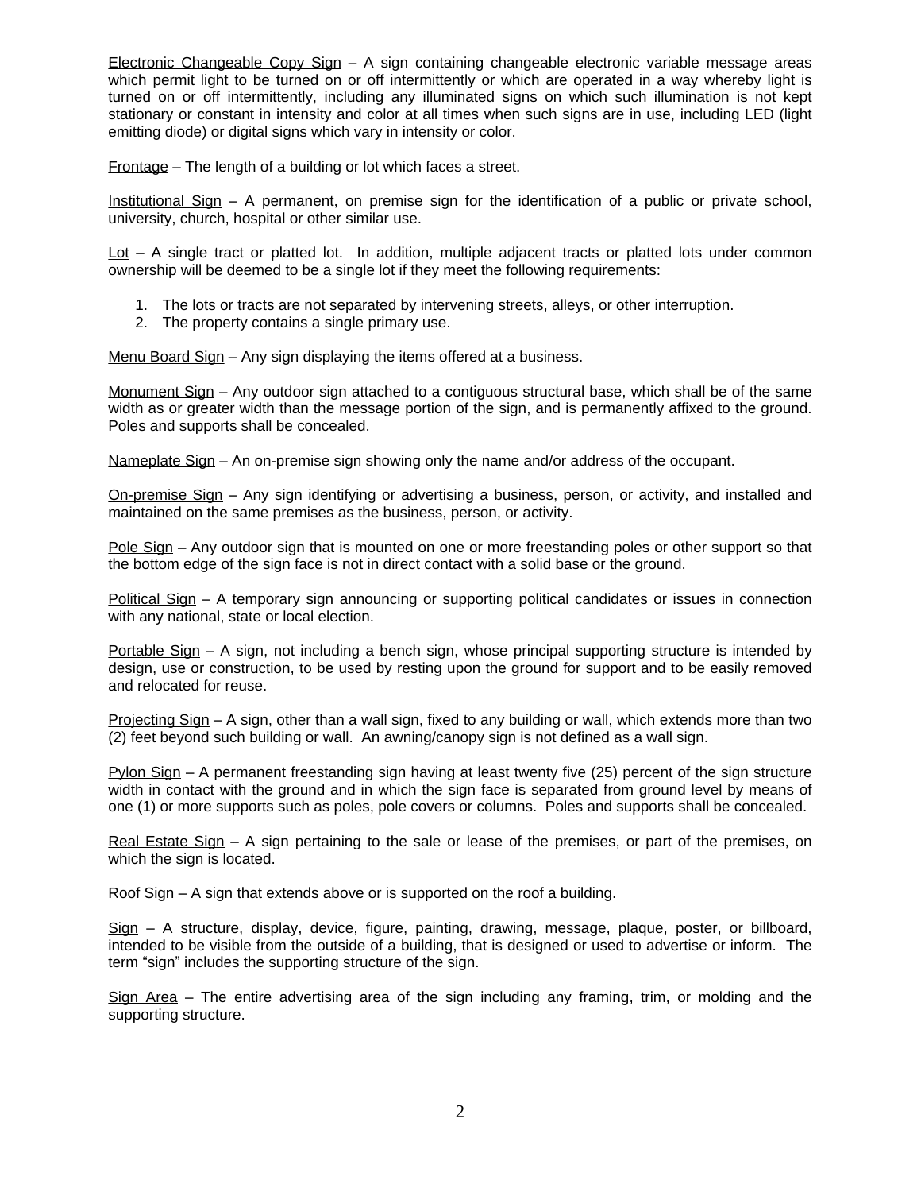Electronic Changeable Copy Sign – A sign containing changeable electronic variable message areas which permit light to be turned on or off intermittently or which are operated in a way whereby light is turned on or off intermittently, including any illuminated signs on which such illumination is not kept stationary or constant in intensity and color at all times when such signs are in use, including LED (light emitting diode) or digital signs which vary in intensity or color.

Frontage – The length of a building or lot which faces a street.

Institutional Sign – A permanent, on premise sign for the identification of a public or private school, university, church, hospital or other similar use.

 $\underline{\text{Lot}}$  – A single tract or platted lot. In addition, multiple adjacent tracts or platted lots under common ownership will be deemed to be a single lot if they meet the following requirements:

- 1. The lots or tracts are not separated by intervening streets, alleys, or other interruption.
- 2. The property contains a single primary use.

Menu Board Sign – Any sign displaying the items offered at a business.

Monument Sign – Any outdoor sign attached to a contiguous structural base, which shall be of the same width as or greater width than the message portion of the sign, and is permanently affixed to the ground. Poles and supports shall be concealed.

Nameplate Sign – An on-premise sign showing only the name and/or address of the occupant.

On-premise Sign – Any sign identifying or advertising a business, person, or activity, and installed and maintained on the same premises as the business, person, or activity.

Pole Sign – Any outdoor sign that is mounted on one or more freestanding poles or other support so that the bottom edge of the sign face is not in direct contact with a solid base or the ground.

Political Sign – A temporary sign announcing or supporting political candidates or issues in connection with any national, state or local election.

Portable Sign – A sign, not including a bench sign, whose principal supporting structure is intended by design, use or construction, to be used by resting upon the ground for support and to be easily removed and relocated for reuse.

Projecting Sign – A sign, other than a wall sign, fixed to any building or wall, which extends more than two (2) feet beyond such building or wall. An awning/canopy sign is not defined as a wall sign.

Pylon Sign – A permanent freestanding sign having at least twenty five (25) percent of the sign structure width in contact with the ground and in which the sign face is separated from ground level by means of one (1) or more supports such as poles, pole covers or columns. Poles and supports shall be concealed.

Real Estate Sign – A sign pertaining to the sale or lease of the premises, or part of the premises, on which the sign is located.

Roof Sign – A sign that extends above or is supported on the roof a building.

Sign – A structure, display, device, figure, painting, drawing, message, plaque, poster, or billboard, intended to be visible from the outside of a building, that is designed or used to advertise or inform. The term "sign" includes the supporting structure of the sign.

Sign Area – The entire advertising area of the sign including any framing, trim, or molding and the supporting structure.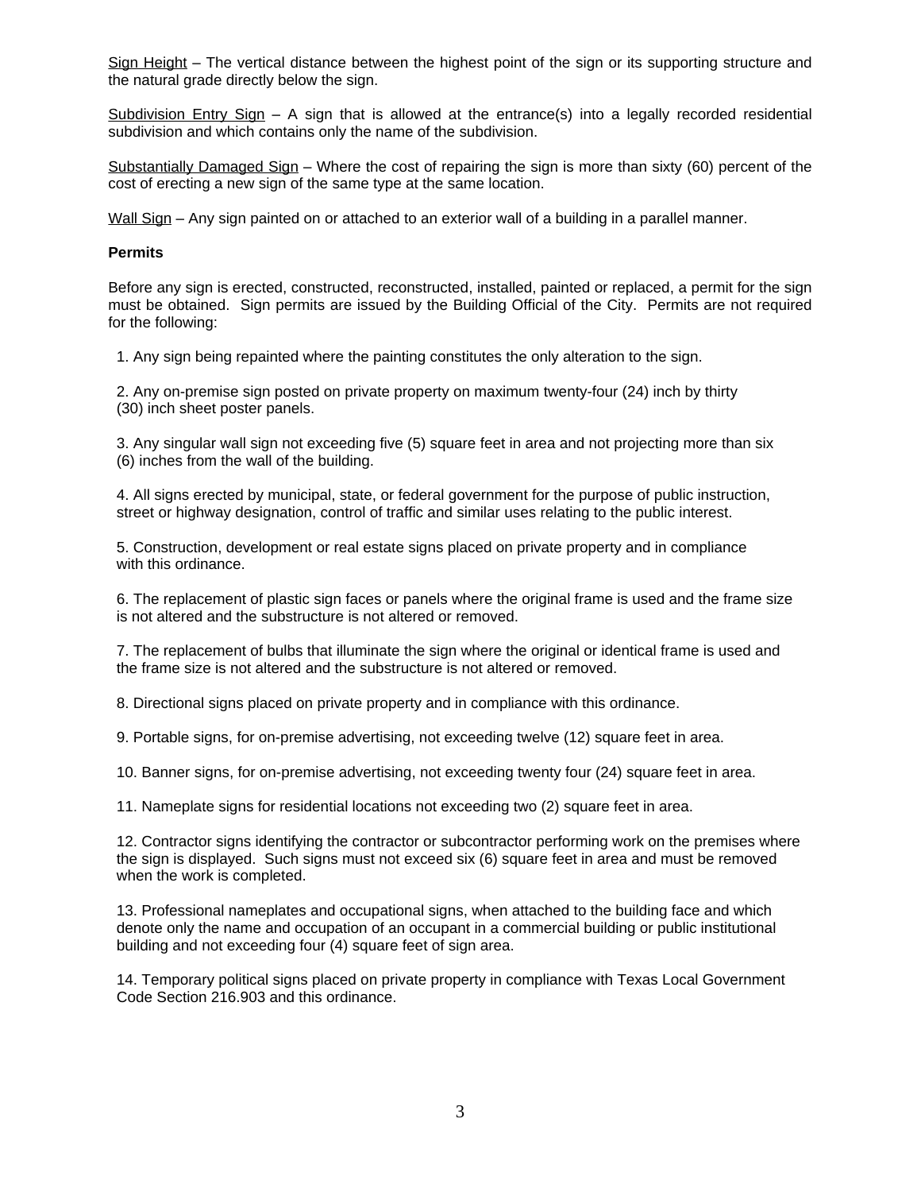Sign Height – The vertical distance between the highest point of the sign or its supporting structure and the natural grade directly below the sign.

Subdivision Entry Sign – A sign that is allowed at the entrance(s) into a legally recorded residential subdivision and which contains only the name of the subdivision.

Substantially Damaged Sign - Where the cost of repairing the sign is more than sixty (60) percent of the cost of erecting a new sign of the same type at the same location.

Wall Sign – Any sign painted on or attached to an exterior wall of a building in a parallel manner.

# **Permits**

Before any sign is erected, constructed, reconstructed, installed, painted or replaced, a permit for the sign must be obtained. Sign permits are issued by the Building Official of the City. Permits are not required for the following:

1. Any sign being repainted where the painting constitutes the only alteration to the sign.

 2. Any on-premise sign posted on private property on maximum twenty-four (24) inch by thirty (30) inch sheet poster panels.

 3. Any singular wall sign not exceeding five (5) square feet in area and not projecting more than six (6) inches from the wall of the building.

 4. All signs erected by municipal, state, or federal government for the purpose of public instruction, street or highway designation, control of traffic and similar uses relating to the public interest.

5. Construction, development or real estate signs placed on private property and in compliance with this ordinance.

 6. The replacement of plastic sign faces or panels where the original frame is used and the frame size is not altered and the substructure is not altered or removed.

 7. The replacement of bulbs that illuminate the sign where the original or identical frame is used and the frame size is not altered and the substructure is not altered or removed.

8. Directional signs placed on private property and in compliance with this ordinance.

9. Portable signs, for on-premise advertising, not exceeding twelve (12) square feet in area.

10. Banner signs, for on-premise advertising, not exceeding twenty four (24) square feet in area.

11. Nameplate signs for residential locations not exceeding two (2) square feet in area.

 12. Contractor signs identifying the contractor or subcontractor performing work on the premises where the sign is displayed. Such signs must not exceed six (6) square feet in area and must be removed when the work is completed.

 13. Professional nameplates and occupational signs, when attached to the building face and which denote only the name and occupation of an occupant in a commercial building or public institutional building and not exceeding four (4) square feet of sign area.

 14. Temporary political signs placed on private property in compliance with Texas Local Government Code Section 216.903 and this ordinance.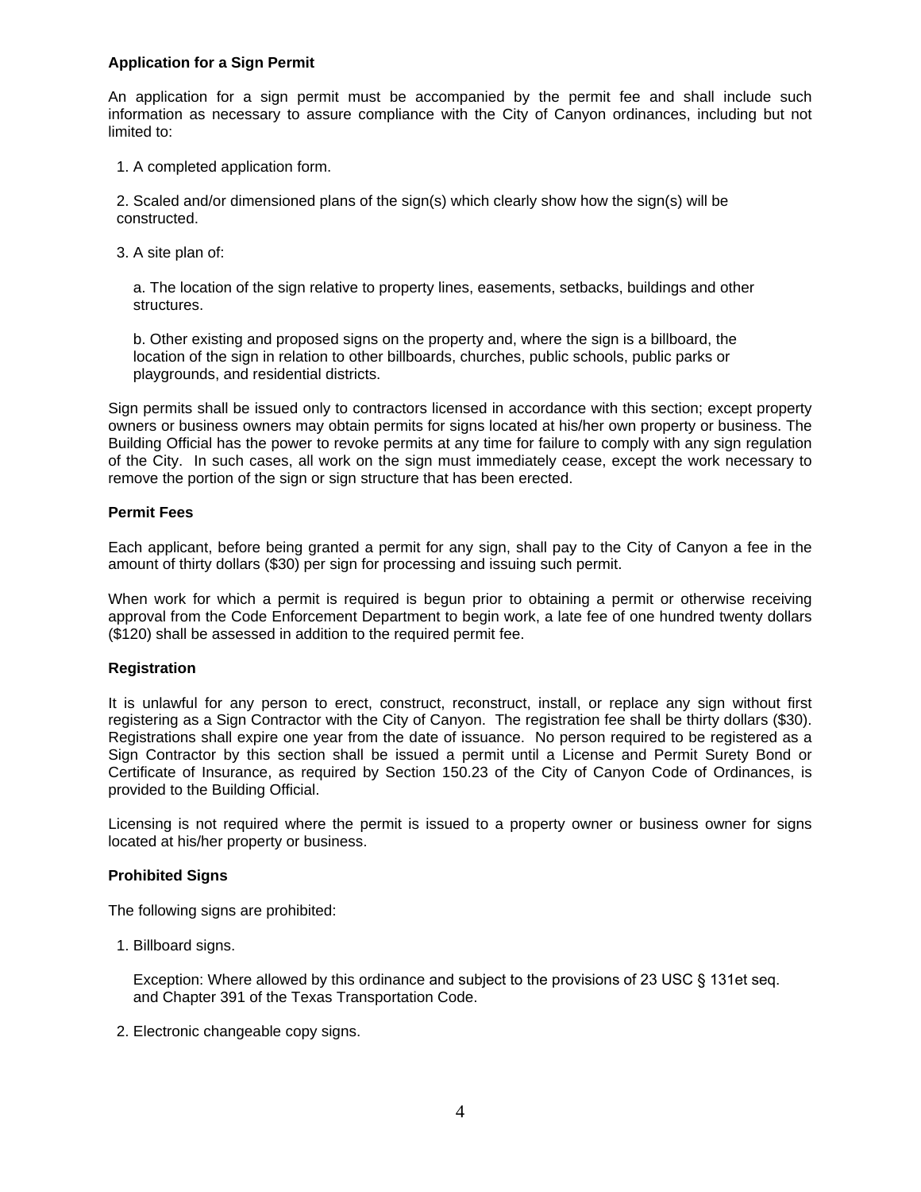# **Application for a Sign Permit**

An application for a sign permit must be accompanied by the permit fee and shall include such information as necessary to assure compliance with the City of Canyon ordinances, including but not limited to:

1. A completed application form.

 2. Scaled and/or dimensioned plans of the sign(s) which clearly show how the sign(s) will be constructed.

3. A site plan of:

 a. The location of the sign relative to property lines, easements, setbacks, buildings and other structures.

 b. Other existing and proposed signs on the property and, where the sign is a billboard, the location of the sign in relation to other billboards, churches, public schools, public parks or playgrounds, and residential districts.

Sign permits shall be issued only to contractors licensed in accordance with this section; except property owners or business owners may obtain permits for signs located at his/her own property or business. The Building Official has the power to revoke permits at any time for failure to comply with any sign regulation of the City. In such cases, all work on the sign must immediately cease, except the work necessary to remove the portion of the sign or sign structure that has been erected.

# **Permit Fees**

Each applicant, before being granted a permit for any sign, shall pay to the City of Canyon a fee in the amount of thirty dollars (\$30) per sign for processing and issuing such permit.

When work for which a permit is required is begun prior to obtaining a permit or otherwise receiving approval from the Code Enforcement Department to begin work, a late fee of one hundred twenty dollars (\$120) shall be assessed in addition to the required permit fee.

## **Registration**

It is unlawful for any person to erect, construct, reconstruct, install, or replace any sign without first registering as a Sign Contractor with the City of Canyon. The registration fee shall be thirty dollars (\$30). Registrations shall expire one year from the date of issuance. No person required to be registered as a Sign Contractor by this section shall be issued a permit until a License and Permit Surety Bond or Certificate of Insurance, as required by Section 150.23 of the City of Canyon Code of Ordinances, is provided to the Building Official.

Licensing is not required where the permit is issued to a property owner or business owner for signs located at his/her property or business.

## **Prohibited Signs**

The following signs are prohibited:

1. Billboard signs.

 Exception: Where allowed by this ordinance and subject to the provisions of 23 USC § 131et seq. and Chapter 391 of the Texas Transportation Code.

2. Electronic changeable copy signs.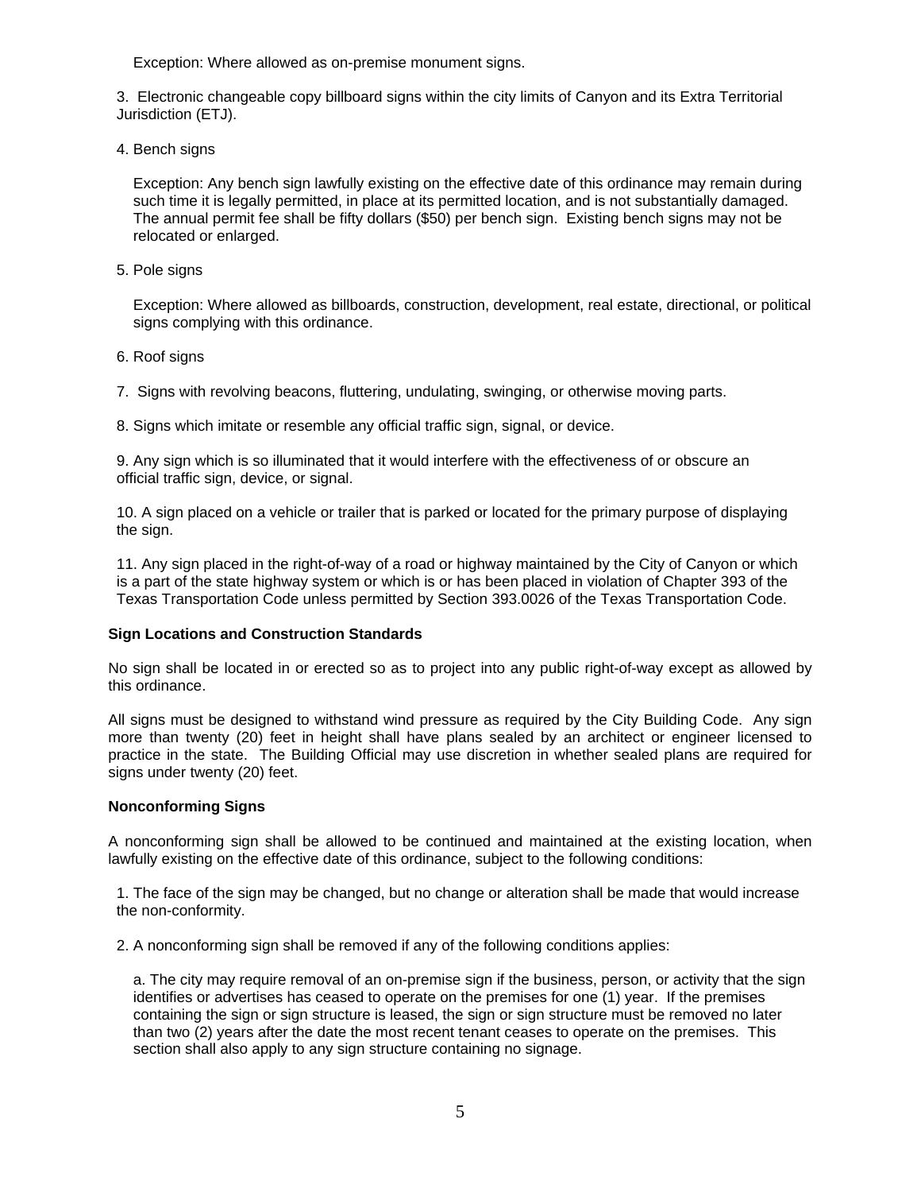Exception: Where allowed as on-premise monument signs.

 3. Electronic changeable copy billboard signs within the city limits of Canyon and its Extra Territorial Jurisdiction (ETJ).

4. Bench signs

 Exception: Any bench sign lawfully existing on the effective date of this ordinance may remain during such time it is legally permitted, in place at its permitted location, and is not substantially damaged. The annual permit fee shall be fifty dollars (\$50) per bench sign. Existing bench signs may not be relocated or enlarged.

5. Pole signs

 Exception: Where allowed as billboards, construction, development, real estate, directional, or political signs complying with this ordinance.

6. Roof signs

7. Signs with revolving beacons, fluttering, undulating, swinging, or otherwise moving parts.

8. Signs which imitate or resemble any official traffic sign, signal, or device.

 9. Any sign which is so illuminated that it would interfere with the effectiveness of or obscure an official traffic sign, device, or signal.

 10. A sign placed on a vehicle or trailer that is parked or located for the primary purpose of displaying the sign.

 11. Any sign placed in the right-of-way of a road or highway maintained by the City of Canyon or which is a part of the state highway system or which is or has been placed in violation of Chapter 393 of the Texas Transportation Code unless permitted by Section 393.0026 of the Texas Transportation Code.

# **Sign Locations and Construction Standards**

No sign shall be located in or erected so as to project into any public right-of-way except as allowed by this ordinance.

All signs must be designed to withstand wind pressure as required by the City Building Code. Any sign more than twenty (20) feet in height shall have plans sealed by an architect or engineer licensed to practice in the state. The Building Official may use discretion in whether sealed plans are required for signs under twenty (20) feet.

## **Nonconforming Signs**

A nonconforming sign shall be allowed to be continued and maintained at the existing location, when lawfully existing on the effective date of this ordinance, subject to the following conditions:

 1. The face of the sign may be changed, but no change or alteration shall be made that would increase the non-conformity.

2. A nonconforming sign shall be removed if any of the following conditions applies:

 a. The city may require removal of an on-premise sign if the business, person, or activity that the sign identifies or advertises has ceased to operate on the premises for one (1) year. If the premises containing the sign or sign structure is leased, the sign or sign structure must be removed no later than two (2) years after the date the most recent tenant ceases to operate on the premises. This section shall also apply to any sign structure containing no signage.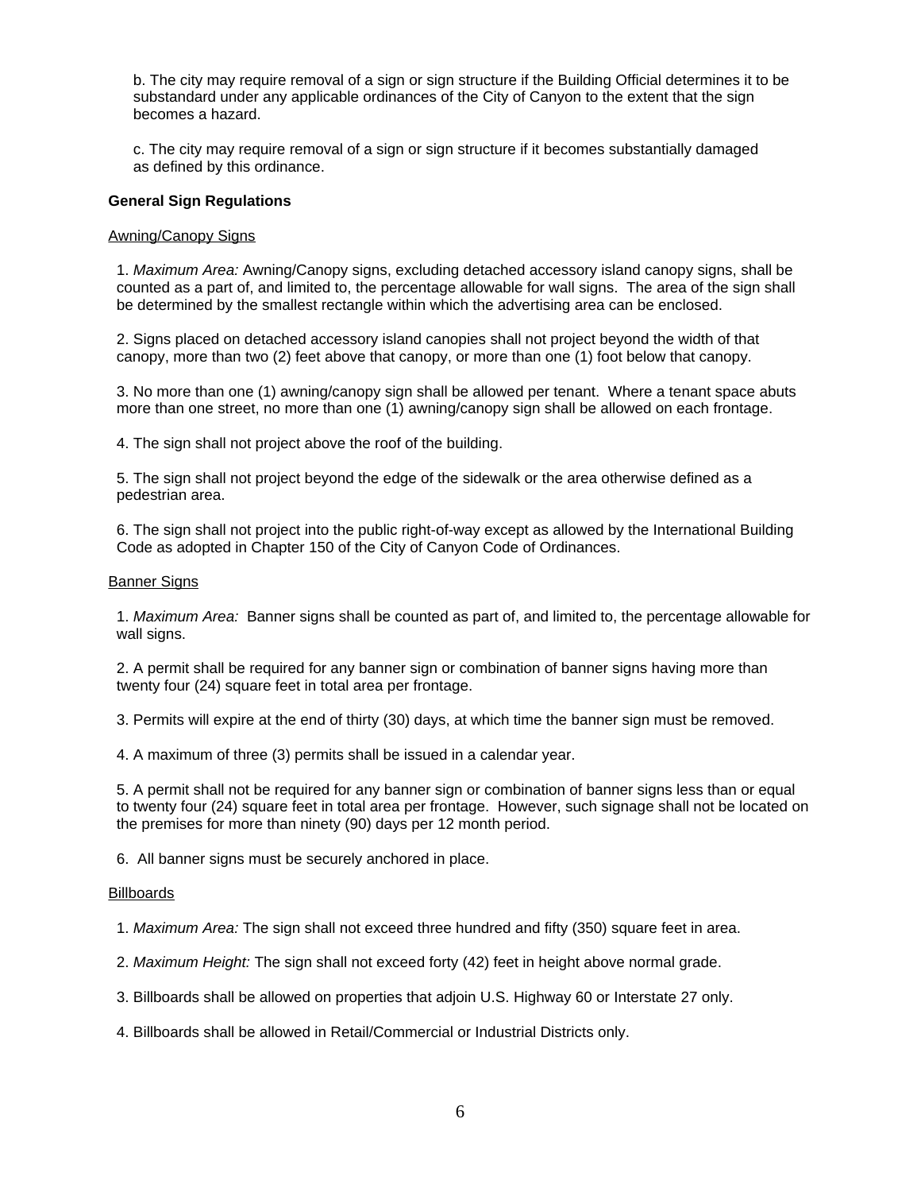b. The city may require removal of a sign or sign structure if the Building Official determines it to be substandard under any applicable ordinances of the City of Canyon to the extent that the sign becomes a hazard.

 c. The city may require removal of a sign or sign structure if it becomes substantially damaged as defined by this ordinance.

### **General Sign Regulations**

### Awning/Canopy Signs

 1. *Maximum Area:* Awning/Canopy signs, excluding detached accessory island canopy signs, shall be counted as a part of, and limited to, the percentage allowable for wall signs. The area of the sign shall be determined by the smallest rectangle within which the advertising area can be enclosed.

 2. Signs placed on detached accessory island canopies shall not project beyond the width of that canopy, more than two (2) feet above that canopy, or more than one (1) foot below that canopy.

 3. No more than one (1) awning/canopy sign shall be allowed per tenant. Where a tenant space abuts more than one street, no more than one (1) awning/canopy sign shall be allowed on each frontage.

4. The sign shall not project above the roof of the building.

 5. The sign shall not project beyond the edge of the sidewalk or the area otherwise defined as a pedestrian area.

 6. The sign shall not project into the public right-of-way except as allowed by the International Building Code as adopted in Chapter 150 of the City of Canyon Code of Ordinances.

### Banner Signs

 1. *Maximum Area:* Banner signs shall be counted as part of, and limited to, the percentage allowable for wall signs.

 2. A permit shall be required for any banner sign or combination of banner signs having more than twenty four (24) square feet in total area per frontage.

3. Permits will expire at the end of thirty (30) days, at which time the banner sign must be removed.

4. A maximum of three (3) permits shall be issued in a calendar year.

 5. A permit shall not be required for any banner sign or combination of banner signs less than or equal to twenty four (24) square feet in total area per frontage. However, such signage shall not be located on the premises for more than ninety (90) days per 12 month period.

6. All banner signs must be securely anchored in place.

#### **Billboards**

1. *Maximum Area:* The sign shall not exceed three hundred and fifty (350) square feet in area.

2. *Maximum Height:* The sign shall not exceed forty (42) feet in height above normal grade.

3. Billboards shall be allowed on properties that adjoin U.S. Highway 60 or Interstate 27 only.

4. Billboards shall be allowed in Retail/Commercial or Industrial Districts only.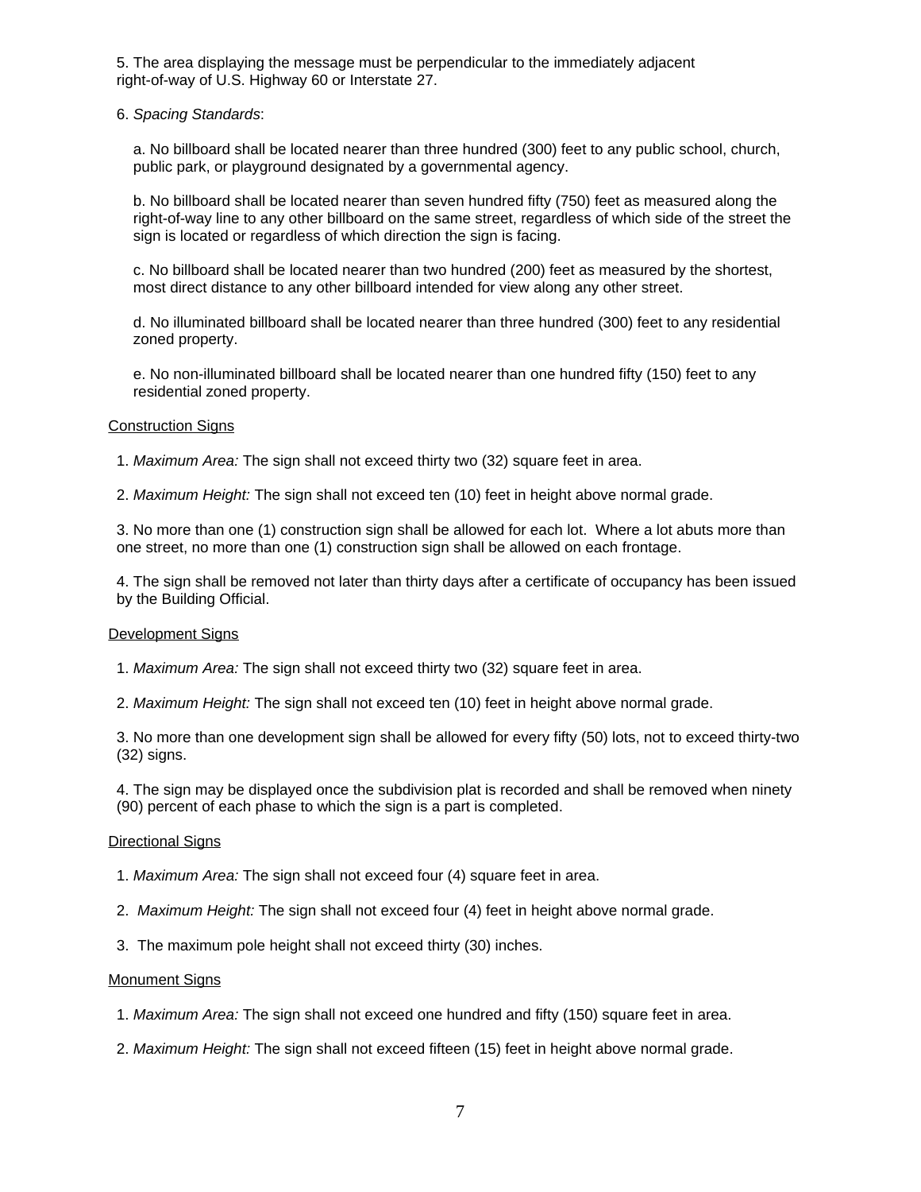5. The area displaying the message must be perpendicular to the immediately adjacent right-of-way of U.S. Highway 60 or Interstate 27.

6. *Spacing Standards*:

 a. No billboard shall be located nearer than three hundred (300) feet to any public school, church, public park, or playground designated by a governmental agency.

 b. No billboard shall be located nearer than seven hundred fifty (750) feet as measured along the right-of-way line to any other billboard on the same street, regardless of which side of the street the sign is located or regardless of which direction the sign is facing.

 c. No billboard shall be located nearer than two hundred (200) feet as measured by the shortest, most direct distance to any other billboard intended for view along any other street.

 d. No illuminated billboard shall be located nearer than three hundred (300) feet to any residential zoned property.

 e. No non-illuminated billboard shall be located nearer than one hundred fifty (150) feet to any residential zoned property.

### Construction Signs

1. *Maximum Area:* The sign shall not exceed thirty two (32) square feet in area.

2. *Maximum Height:* The sign shall not exceed ten (10) feet in height above normal grade.

 3. No more than one (1) construction sign shall be allowed for each lot. Where a lot abuts more than one street, no more than one (1) construction sign shall be allowed on each frontage.

 4. The sign shall be removed not later than thirty days after a certificate of occupancy has been issued by the Building Official.

#### Development Signs

- 1. *Maximum Area:* The sign shall not exceed thirty two (32) square feet in area.
- 2. *Maximum Height:* The sign shall not exceed ten (10) feet in height above normal grade.

 3. No more than one development sign shall be allowed for every fifty (50) lots, not to exceed thirty-two (32) signs.

 4. The sign may be displayed once the subdivision plat is recorded and shall be removed when ninety (90) percent of each phase to which the sign is a part is completed.

## Directional Signs

- 1. *Maximum Area:* The sign shall not exceed four (4) square feet in area.
- 2. *Maximum Height:* The sign shall not exceed four (4) feet in height above normal grade.
- 3. The maximum pole height shall not exceed thirty (30) inches.

#### **Monument Signs**

- 1. *Maximum Area:* The sign shall not exceed one hundred and fifty (150) square feet in area.
- 2. *Maximum Height:* The sign shall not exceed fifteen (15) feet in height above normal grade.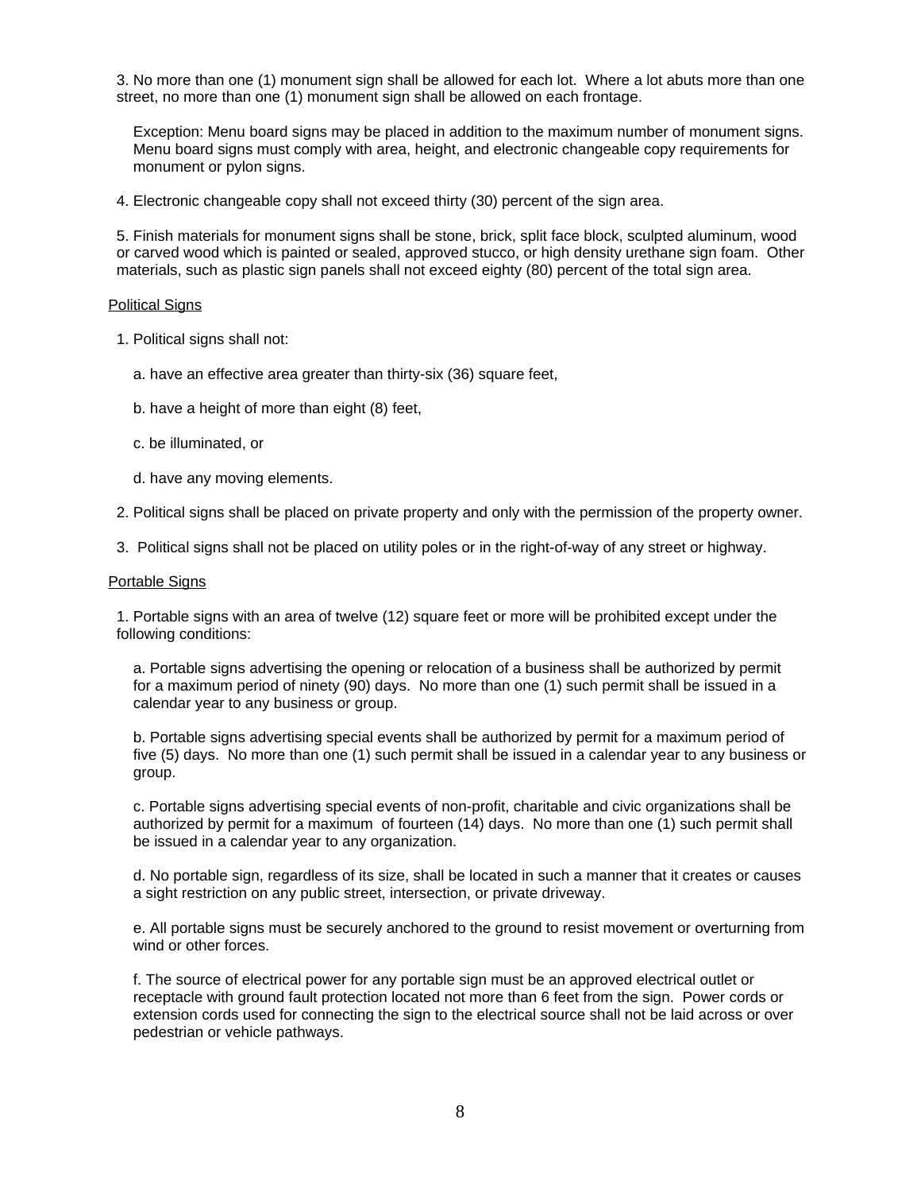3. No more than one (1) monument sign shall be allowed for each lot. Where a lot abuts more than one street, no more than one (1) monument sign shall be allowed on each frontage.

 Exception: Menu board signs may be placed in addition to the maximum number of monument signs. Menu board signs must comply with area, height, and electronic changeable copy requirements for monument or pylon signs.

4. Electronic changeable copy shall not exceed thirty (30) percent of the sign area.

 5. Finish materials for monument signs shall be stone, brick, split face block, sculpted aluminum, wood or carved wood which is painted or sealed, approved stucco, or high density urethane sign foam. Other materials, such as plastic sign panels shall not exceed eighty (80) percent of the total sign area.

#### Political Signs

1. Political signs shall not:

- a. have an effective area greater than thirty-six (36) square feet,
- b. have a height of more than eight (8) feet,
- c. be illuminated, or
- d. have any moving elements.
- 2. Political signs shall be placed on private property and only with the permission of the property owner.
- 3. Political signs shall not be placed on utility poles or in the right-of-way of any street or highway.

#### Portable Signs

 1. Portable signs with an area of twelve (12) square feet or more will be prohibited except under the following conditions:

 a. Portable signs advertising the opening or relocation of a business shall be authorized by permit for a maximum period of ninety (90) days. No more than one (1) such permit shall be issued in a calendar year to any business or group.

 b. Portable signs advertising special events shall be authorized by permit for a maximum period of five (5) days. No more than one (1) such permit shall be issued in a calendar year to any business or group.

 c. Portable signs advertising special events of non-profit, charitable and civic organizations shall be authorized by permit for a maximum of fourteen (14) days. No more than one (1) such permit shall be issued in a calendar year to any organization.

 d. No portable sign, regardless of its size, shall be located in such a manner that it creates or causes a sight restriction on any public street, intersection, or private driveway.

 e. All portable signs must be securely anchored to the ground to resist movement or overturning from wind or other forces.

 f. The source of electrical power for any portable sign must be an approved electrical outlet or receptacle with ground fault protection located not more than 6 feet from the sign. Power cords or extension cords used for connecting the sign to the electrical source shall not be laid across or over pedestrian or vehicle pathways.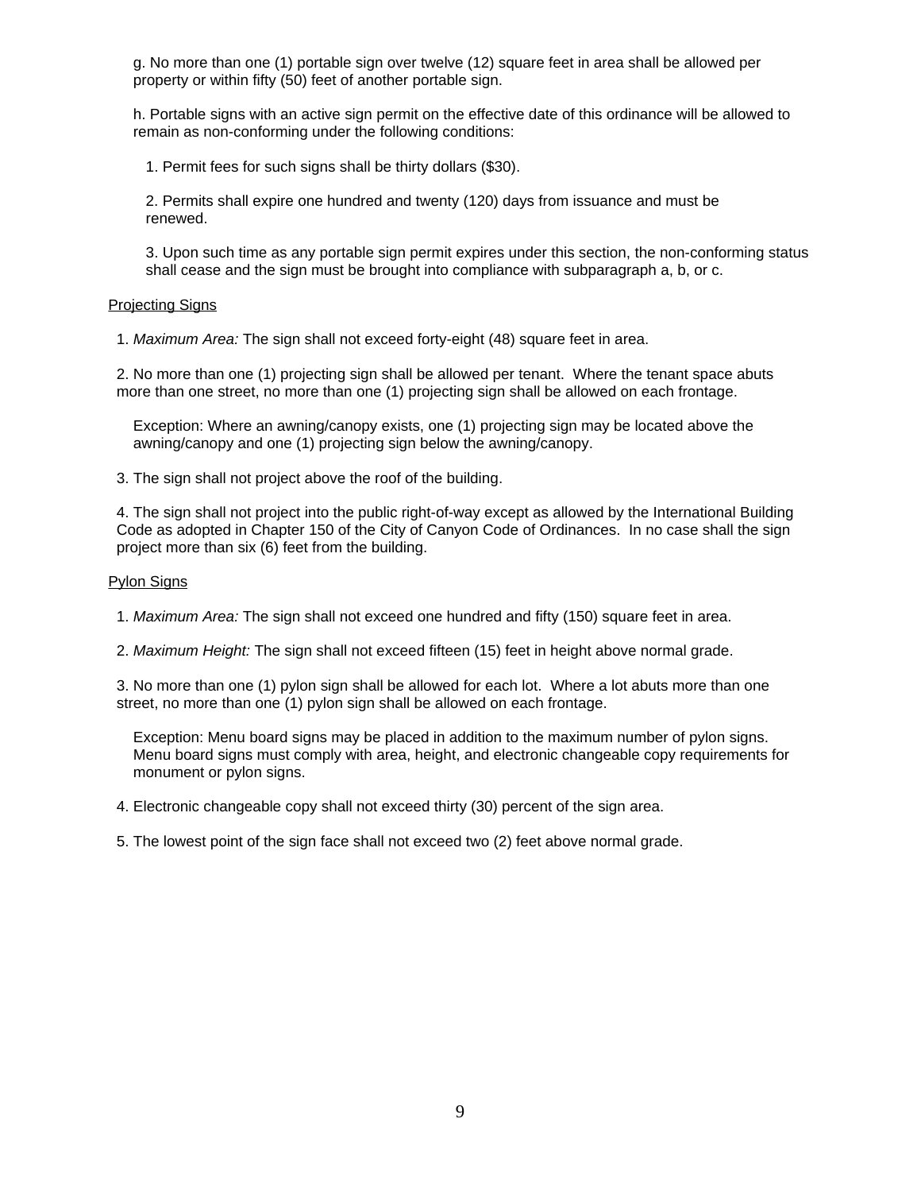g. No more than one (1) portable sign over twelve (12) square feet in area shall be allowed per property or within fifty (50) feet of another portable sign.

 h. Portable signs with an active sign permit on the effective date of this ordinance will be allowed to remain as non-conforming under the following conditions:

1. Permit fees for such signs shall be thirty dollars (\$30).

 2. Permits shall expire one hundred and twenty (120) days from issuance and must be renewed.

 3. Upon such time as any portable sign permit expires under this section, the non-conforming status shall cease and the sign must be brought into compliance with subparagraph a, b, or c.

### Projecting Signs

1. *Maximum Area:* The sign shall not exceed forty-eight (48) square feet in area.

 2. No more than one (1) projecting sign shall be allowed per tenant. Where the tenant space abuts more than one street, no more than one (1) projecting sign shall be allowed on each frontage.

 Exception: Where an awning/canopy exists, one (1) projecting sign may be located above the awning/canopy and one (1) projecting sign below the awning/canopy.

3. The sign shall not project above the roof of the building.

 4. The sign shall not project into the public right-of-way except as allowed by the International Building Code as adopted in Chapter 150 of the City of Canyon Code of Ordinances. In no case shall the sign project more than six (6) feet from the building.

## Pylon Signs

1. *Maximum Area:* The sign shall not exceed one hundred and fifty (150) square feet in area.

2. *Maximum Height:* The sign shall not exceed fifteen (15) feet in height above normal grade.

 3. No more than one (1) pylon sign shall be allowed for each lot. Where a lot abuts more than one street, no more than one (1) pylon sign shall be allowed on each frontage.

 Exception: Menu board signs may be placed in addition to the maximum number of pylon signs. Menu board signs must comply with area, height, and electronic changeable copy requirements for monument or pylon signs.

4. Electronic changeable copy shall not exceed thirty (30) percent of the sign area.

5. The lowest point of the sign face shall not exceed two (2) feet above normal grade.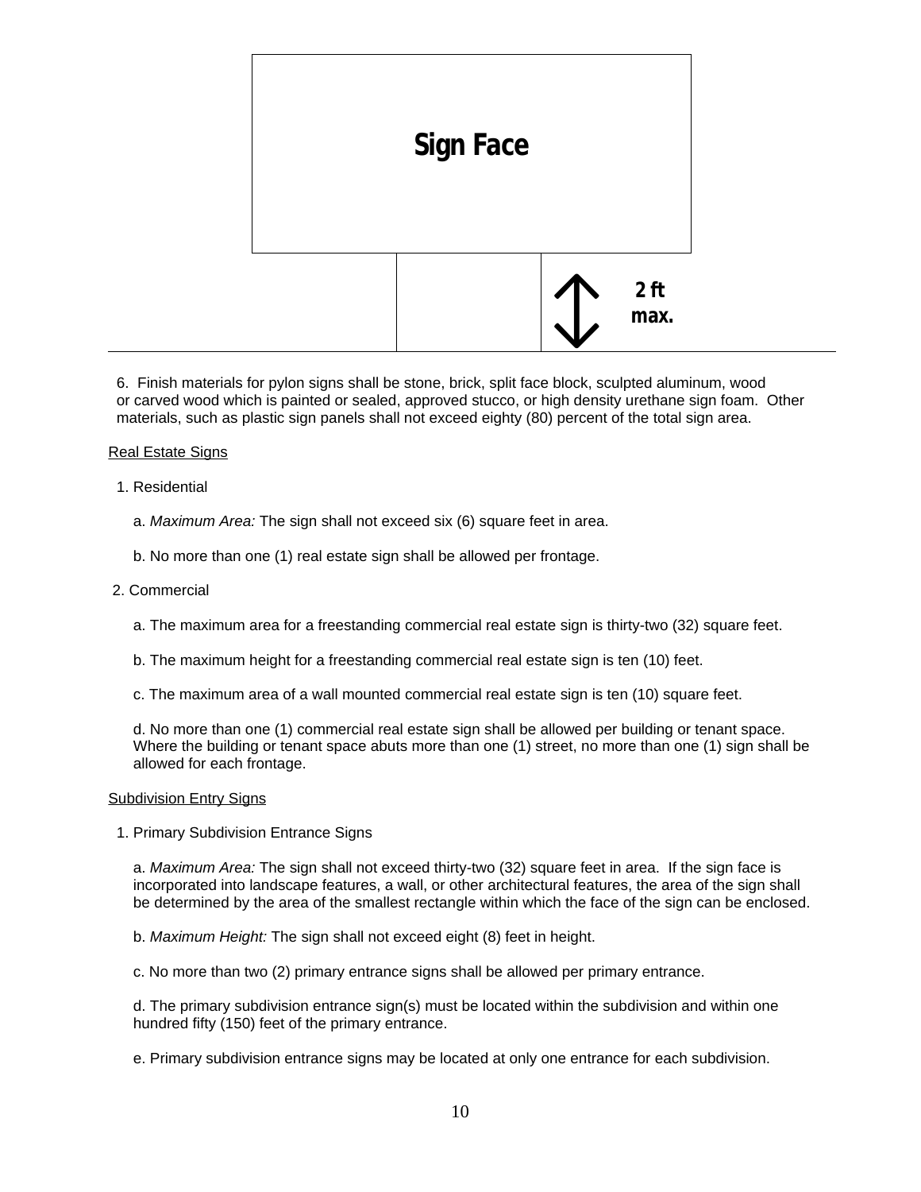

 6. Finish materials for pylon signs shall be stone, brick, split face block, sculpted aluminum, wood or carved wood which is painted or sealed, approved stucco, or high density urethane sign foam. Other materials, such as plastic sign panels shall not exceed eighty (80) percent of the total sign area.

## Real Estate Signs

- 1. Residential
	- a. *Maximum Area:* The sign shall not exceed six (6) square feet in area.
	- b. No more than one (1) real estate sign shall be allowed per frontage.
- 2. Commercial
	- a. The maximum area for a freestanding commercial real estate sign is thirty-two (32) square feet.
	- b. The maximum height for a freestanding commercial real estate sign is ten (10) feet.
	- c. The maximum area of a wall mounted commercial real estate sign is ten (10) square feet.

 d. No more than one (1) commercial real estate sign shall be allowed per building or tenant space. Where the building or tenant space abuts more than one (1) street, no more than one (1) sign shall be allowed for each frontage.

## Subdivision Entry Signs

1. Primary Subdivision Entrance Signs

 a. *Maximum Area:* The sign shall not exceed thirty-two (32) square feet in area. If the sign face is incorporated into landscape features, a wall, or other architectural features, the area of the sign shall be determined by the area of the smallest rectangle within which the face of the sign can be enclosed.

b. *Maximum Height:* The sign shall not exceed eight (8) feet in height.

c. No more than two (2) primary entrance signs shall be allowed per primary entrance.

 d. The primary subdivision entrance sign(s) must be located within the subdivision and within one hundred fifty (150) feet of the primary entrance.

e. Primary subdivision entrance signs may be located at only one entrance for each subdivision.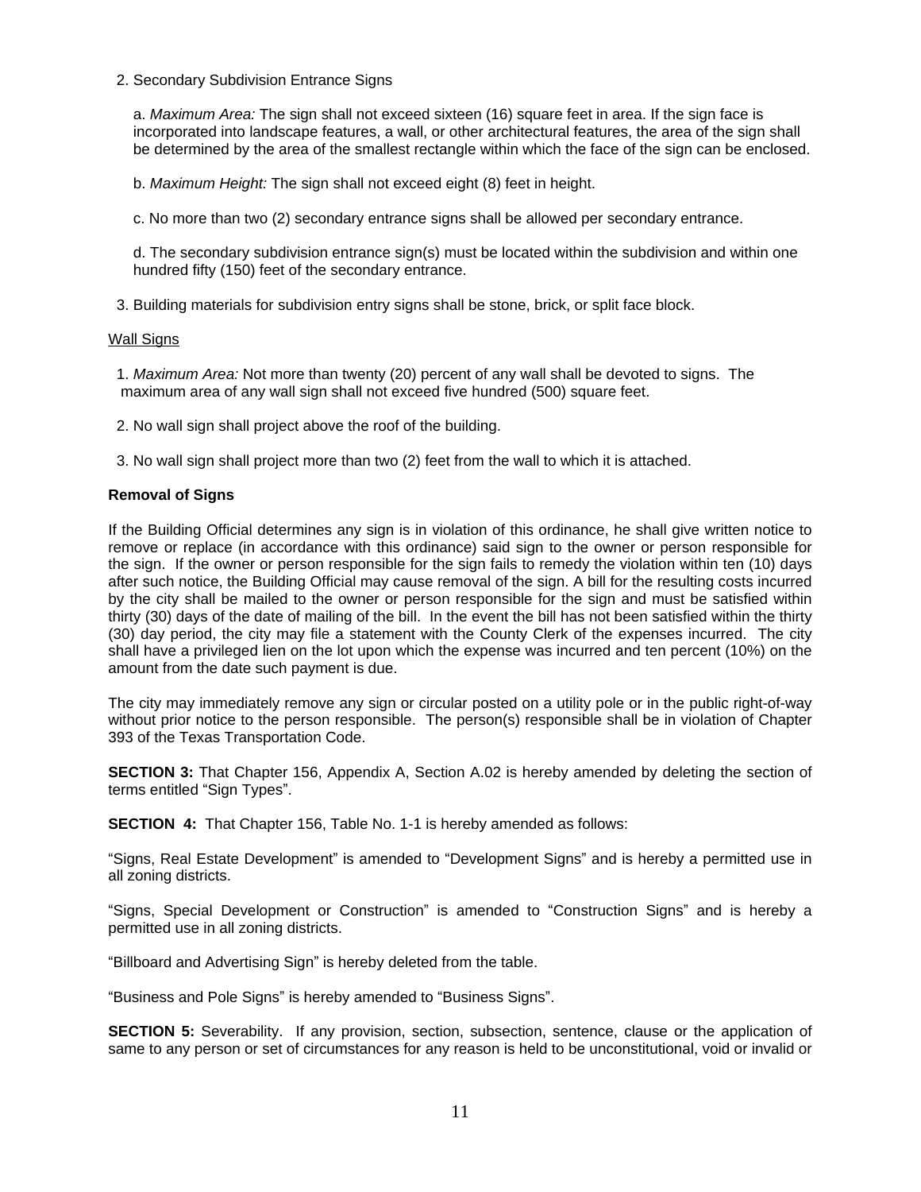2. Secondary Subdivision Entrance Signs

 a. *Maximum Area:* The sign shall not exceed sixteen (16) square feet in area. If the sign face is incorporated into landscape features, a wall, or other architectural features, the area of the sign shall be determined by the area of the smallest rectangle within which the face of the sign can be enclosed.

b. *Maximum Height:* The sign shall not exceed eight (8) feet in height.

c. No more than two (2) secondary entrance signs shall be allowed per secondary entrance.

 d. The secondary subdivision entrance sign(s) must be located within the subdivision and within one hundred fifty (150) feet of the secondary entrance.

3. Building materials for subdivision entry signs shall be stone, brick, or split face block.

# Wall Signs

 1. *Maximum Area:* Not more than twenty (20) percent of any wall shall be devoted to signs. The maximum area of any wall sign shall not exceed five hundred (500) square feet.

2. No wall sign shall project above the roof of the building.

3. No wall sign shall project more than two (2) feet from the wall to which it is attached.

# **Removal of Signs**

If the Building Official determines any sign is in violation of this ordinance, he shall give written notice to remove or replace (in accordance with this ordinance) said sign to the owner or person responsible for the sign. If the owner or person responsible for the sign fails to remedy the violation within ten (10) days after such notice, the Building Official may cause removal of the sign. A bill for the resulting costs incurred by the city shall be mailed to the owner or person responsible for the sign and must be satisfied within thirty (30) days of the date of mailing of the bill. In the event the bill has not been satisfied within the thirty (30) day period, the city may file a statement with the County Clerk of the expenses incurred. The city shall have a privileged lien on the lot upon which the expense was incurred and ten percent (10%) on the amount from the date such payment is due.

The city may immediately remove any sign or circular posted on a utility pole or in the public right-of-way without prior notice to the person responsible. The person(s) responsible shall be in violation of Chapter 393 of the Texas Transportation Code.

**SECTION 3:** That Chapter 156, Appendix A, Section A.02 is hereby amended by deleting the section of terms entitled "Sign Types".

**SECTION 4:** That Chapter 156, Table No. 1-1 is hereby amended as follows:

"Signs, Real Estate Development" is amended to "Development Signs" and is hereby a permitted use in all zoning districts.

"Signs, Special Development or Construction" is amended to "Construction Signs" and is hereby a permitted use in all zoning districts.

"Billboard and Advertising Sign" is hereby deleted from the table.

"Business and Pole Signs" is hereby amended to "Business Signs".

**SECTION 5:** Severability. If any provision, section, subsection, sentence, clause or the application of same to any person or set of circumstances for any reason is held to be unconstitutional, void or invalid or